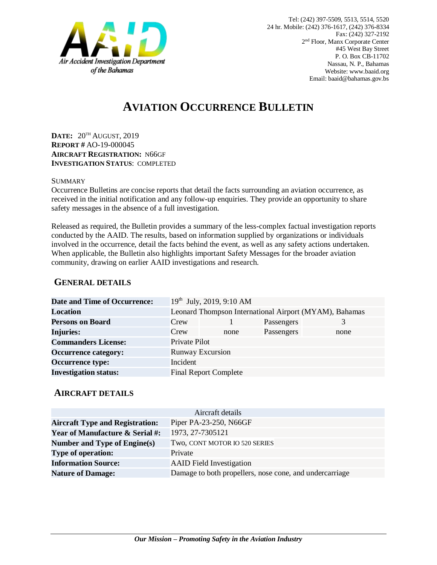

# **AVIATION OCCURRENCE BULLETIN**

**DATE:** 20TH AUGUST, 2019 **REPORT #** AO-19-000045 **AIRCRAFT REGISTRATION:** N66GF **INVESTIGATION STATUS**: COMPLETED

#### SUMMARY

Occurrence Bulletins are concise reports that detail the facts surrounding an aviation occurrence, as received in the initial notification and any follow-up enquiries. They provide an opportunity to share safety messages in the absence of a full investigation*.*

Released as required, the Bulletin provides a summary of the less-complex factual investigation reports conducted by the AAID. The results, based on information supplied by organizations or individuals involved in the occurrence, detail the facts behind the event, as well as any safety actions undertaken. When applicable, the Bulletin also highlights important Safety Messages for the broader aviation community, drawing on earlier AAID investigations and research.

### **GENERAL DETAILS**

| Date and Time of Occurrence: |                                                        | 19 <sup>th</sup> July, 2019, 9:10 AM |            |      |
|------------------------------|--------------------------------------------------------|--------------------------------------|------------|------|
| <b>Location</b>              | Leonard Thompson International Airport (MYAM), Bahamas |                                      |            |      |
| <b>Persons on Board</b>      | Crew                                                   |                                      | Passengers | 3    |
| <b>Injuries:</b>             | Crew                                                   | none                                 | Passengers | none |
| <b>Commanders License:</b>   | Private Pilot                                          |                                      |            |      |
| <b>Occurrence category:</b>  | <b>Runway Excursion</b>                                |                                      |            |      |
| <b>Occurrence type:</b>      | Incident                                               |                                      |            |      |
| <b>Investigation status:</b> |                                                        | <b>Final Report Complete</b>         |            |      |

#### **AIRCRAFT DETAILS**

| Aircraft details                           |                                                         |  |  |  |
|--------------------------------------------|---------------------------------------------------------|--|--|--|
| <b>Aircraft Type and Registration:</b>     | Piper PA-23-250, N66GF                                  |  |  |  |
| <b>Year of Manufacture &amp; Serial #:</b> | 1973, 27-7305121                                        |  |  |  |
| Number and Type of Engine(s)               | TWO, CONT MOTOR IO 520 SERIES                           |  |  |  |
| <b>Type of operation:</b>                  | Private                                                 |  |  |  |
| <b>Information Source:</b>                 | <b>AAID</b> Field Investigation                         |  |  |  |
| <b>Nature of Damage:</b>                   | Damage to both propellers, nose cone, and undercarriage |  |  |  |